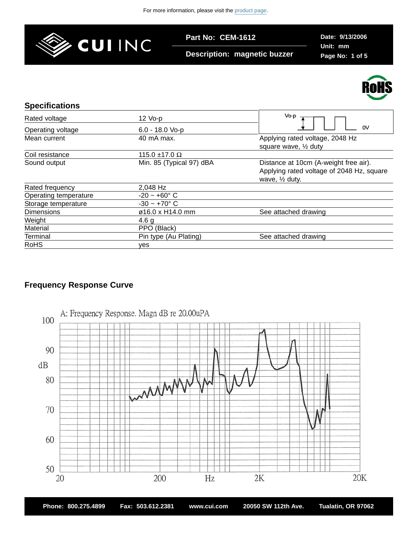

**Part No: CEM-1612**

**Description: magnetic buzzer**

**Date: 9/13/2006 Unit: mm Page No: 1 of 5**



| <b>Specifications</b> |                           |                                                                                                                 |
|-----------------------|---------------------------|-----------------------------------------------------------------------------------------------------------------|
| Rated voltage         | $12$ Vo-p                 | Vo-p                                                                                                            |
| Operating voltage     | $6.0 - 18.0$ Vo-p         | 0V                                                                                                              |
| Mean current          | 40 mA max.                | Applying rated voltage, 2048 Hz<br>square wave, 1/2 duty                                                        |
| Coil resistance       | 115.0 $\pm$ 17.0 $\Omega$ |                                                                                                                 |
| Sound output          | Min. 85 (Typical 97) dBA  | Distance at 10cm (A-weight free air).<br>Applying rated voltage of 2048 Hz, square<br>wave, $\frac{1}{2}$ duty. |
| Rated frequency       | 2,048 Hz                  |                                                                                                                 |
| Operating temperature | $-20 - +60^{\circ} C$     |                                                                                                                 |
| Storage temperature   | $-30 - +70^{\circ}$ C     |                                                                                                                 |
| <b>Dimensions</b>     | $\varphi$ 16.0 x H14.0 mm | See attached drawing                                                                                            |
| Weight                | 4.6 g                     |                                                                                                                 |
| Material              | PPO (Black)               |                                                                                                                 |
| Terminal              | Pin type (Au Plating)     | See attached drawing                                                                                            |
| <b>RoHS</b>           | yes                       |                                                                                                                 |

# **Frequency Response Curve**



**Phone: 800.275.4899 Fax: 503.612.2381 www.cui.com 20050 SW 112th Ave. Tualatin, OR 97062**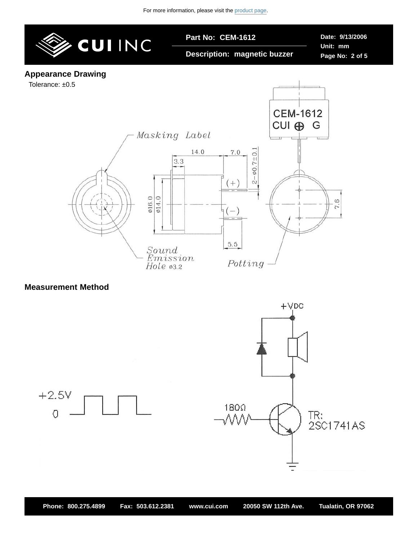

### **Measurement Method**

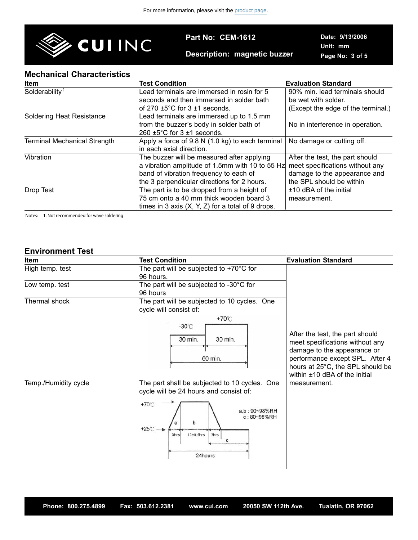

**Part No: CEM-1612**

**Description: magnetic buzzer**

**Date: 9/13/2006 Unit: mm Page No: 3 of 5**

### **Mechanical Characteristics**

| <b>Item</b>                         | <b>Test Condition</b>                               | <b>Evaluation Standard</b>         |
|-------------------------------------|-----------------------------------------------------|------------------------------------|
| Solderability <sup>1</sup>          | Lead terminals are immersed in rosin for 5          | 90% min. lead terminals should     |
|                                     | seconds and then immersed in solder bath            | be wet with solder.                |
|                                     | of 270 $\pm$ 5°C for 3 $\pm$ 1 seconds.             | (Except the edge of the terminal.) |
| <b>Soldering Heat Resistance</b>    | Lead terminals are immersed up to 1.5 mm            |                                    |
|                                     | from the buzzer's body in solder bath of            | No in interference in operation.   |
|                                     | $260 \pm 5^{\circ}$ C for 3 $\pm$ 1 seconds.        |                                    |
| <b>Terminal Mechanical Strength</b> | Apply a force of 9.8 N (1.0 kg) to each terminal    | No damage or cutting off.          |
|                                     | in each axial direction.                            |                                    |
| Vibration                           | The buzzer will be measured after applying          | After the test, the part should    |
|                                     | a vibration amplitude of 1.5mm with 10 to 55 Hz     | meet specifications without any    |
|                                     | band of vibration frequency to each of              | damage to the appearance and       |
|                                     | the 3 perpendicular directions for 2 hours.         | the SPL should be within           |
| Drop Test                           | The part is to be dropped from a height of          | ±10 dBA of the initial             |
|                                     | 75 cm onto a 40 mm thick wooden board 3             | measurement.                       |
|                                     | times in 3 axis $(X, Y, Z)$ for a total of 9 drops. |                                    |

Notes: 1. Not recommended for wave soldering

## **Environment Test**

| Item                 | <b>Test Condition</b>                                                                                                                                                                                                        | <b>Evaluation Standard</b>                                                                                                                                               |  |
|----------------------|------------------------------------------------------------------------------------------------------------------------------------------------------------------------------------------------------------------------------|--------------------------------------------------------------------------------------------------------------------------------------------------------------------------|--|
| High temp. test      | The part will be subjected to $+70^{\circ}$ C for<br>96 hours.                                                                                                                                                               |                                                                                                                                                                          |  |
| Low temp. test       | The part will be subjected to -30°C for<br>96 hours                                                                                                                                                                          |                                                                                                                                                                          |  |
| Thermal shock        | The part will be subjected to 10 cycles. One<br>cycle will consist of:<br>$+70^{\circ}$ C<br>$-30^{\circ}$ C<br>30 min.<br>30 min.<br>60 min.                                                                                | After the test, the part should<br>meet specifications without any<br>damage to the appearance or<br>performance except SPL. After 4<br>hours at 25°C, the SPL should be |  |
| Temp./Humidity cycle | The part shall be subjected to 10 cycles. One<br>cycle will be 24 hours and consist of:<br>$+70^{\circ}$ C<br>a.b: 90~98%RH<br>c: 80~98%RH<br>$\mathsf b$<br>$+25^\circ$ C<br>$12\pm0.5$ hrs<br>3hrs<br>3hrs<br>C<br>24hours | within ±10 dBA of the initial<br>measurement.                                                                                                                            |  |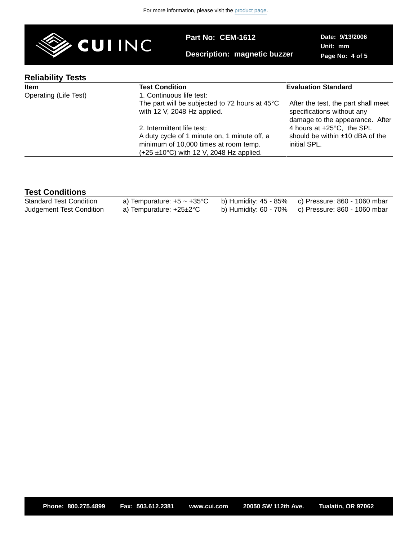

**Part No: CEM-1612**

**Description: magnetic buzzer**

**Date: 9/13/2006 Unit: mm Page No: 4 of 5**

## **Reliability Tests**

| <b>Item</b>           | <b>Test Condition</b>                                                                                                                                                      | <b>Evaluation Standard</b>                                                                           |
|-----------------------|----------------------------------------------------------------------------------------------------------------------------------------------------------------------------|------------------------------------------------------------------------------------------------------|
| Operating (Life Test) | 1. Continuous life test:                                                                                                                                                   |                                                                                                      |
|                       | The part will be subjected to 72 hours at $45^{\circ}$ C<br>with 12 V, 2048 Hz applied.                                                                                    | After the test, the part shall meet<br>specifications without any<br>damage to the appearance. After |
|                       | 2. Intermittent life test:<br>A duty cycle of 1 minute on, 1 minute off, a<br>minimum of 10,000 times at room temp.<br>$(+25 \pm 10^{\circ}C)$ with 12 V, 2048 Hz applied. | 4 hours at +25°C, the SPL<br>should be within $±10$ dBA of the<br>initial SPL.                       |

# **Test Conditions**

| <b>Standard Test Condition</b> | a) Tempurature: $+5 \sim +35^{\circ}$ C b) Humidity: $45 - 85\%$ c) Pressure: 860 - 1060 mbar |                                                    |
|--------------------------------|-----------------------------------------------------------------------------------------------|----------------------------------------------------|
| Judgement Test Condition       | a) Tempurature: +25±2°C                                                                       | b) Humidity: 60 - 70% c) Pressure: 860 - 1060 mbar |